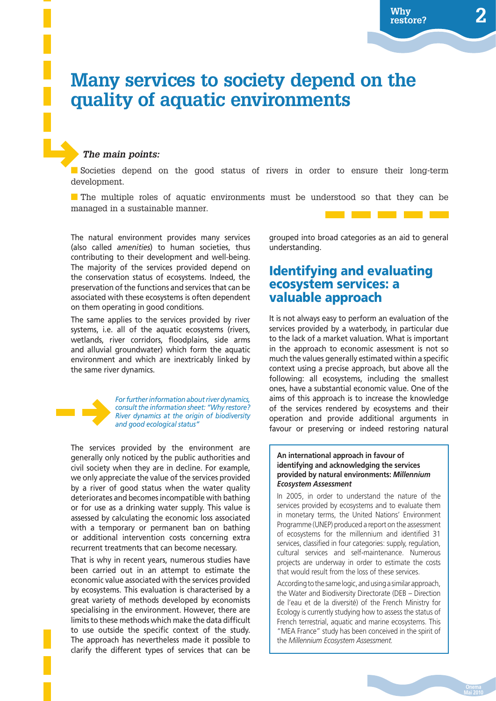# **Many services to society depend on the quality of aquatic environments**

### *The main points:*

■ Societies depend on the good status of rivers in order to ensure their long-term development.

■ The multiple roles of aquatic environments must be understood so that they can be managed in a sustainable manner.

The natural environment provides many services (also called *amenities*) to human societies, thus contributing to their development and well-being. The majority of the services provided depend on the conservation status of ecosystems. Indeed, the preservation of the functions and services that can be associated with these ecosystems is often dependent on them operating in good conditions.

The same applies to the services provided by river systems, i.e. all of the aquatic ecosystems (rivers, wetlands, river corridors, floodplains, side arms and alluvial groundwater) which form the aquatic environment and which are inextricably linked by the same river dynamics.



*For further information about river dynamics, consult the information sheet: "Why restore? River dynamics at the origin of biodiversity and good ecological status"*

The services provided by the environment are generally only noticed by the public authorities and civil society when they are in decline. For example, we only appreciate the value of the services provided by a river of good status when the water quality deteriorates and becomes incompatible with bathing or for use as a drinking water supply. This value is assessed by calculating the economic loss associated with a temporary or permanent ban on bathing or additional intervention costs concerning extra recurrent treatments that can become necessary.

That is why in recent years, numerous studies have been carried out in an attempt to estimate the economic value associated with the services provided by ecosystems. This evaluation is characterised by a great variety of methods developed by economists specialising in the environment. However, there are limits to these methods which make the data difficult to use outside the specific context of the study. The approach has nevertheless made it possible to clarify the different types of services that can be

grouped into broad categories as an aid to general understanding.

### **Identifying and evaluating ecosystem services: a valuable approach**

It is not always easy to perform an evaluation of the services provided by a waterbody, in particular due to the lack of a market valuation. What is important in the approach to economic assessment is not so much the values generally estimated within a specific context using a precise approach, but above all the following: all ecosystems, including the smallest ones, have a substantial economic value. One of the aims of this approach is to increase the knowledge of the services rendered by ecosystems and their operation and provide additional arguments in favour or preserving or indeed restoring natural

#### **An international approach in favour of identifying and acknowledging the services provided by natural environments:** *Millennium Ecosystem Assessment*

In 2005, in order to understand the nature of the services provided by ecosystems and to evaluate them in monetary terms, the United Nations' Environment Programme (UNEP) produced a report on the assessment of ecosystems for the millennium and identified 31 services, classified in four categories: supply, regulation, cultural services and self-maintenance. Numerous projects are underway in order to estimate the costs that would result from the loss of these services.

According to the same logic, and using a similar approach, the Water and Biodiversity Directorate (DEB – Direction de l'eau et de la diversité) of the French Ministry for Ecology is currently studying how to assess the status of French terrestrial, aquatic and marine ecosystems. This "MEA France" study has been conceived in the spirit of the *Millennium Ecosystem Assessment.*

**Mai 2010**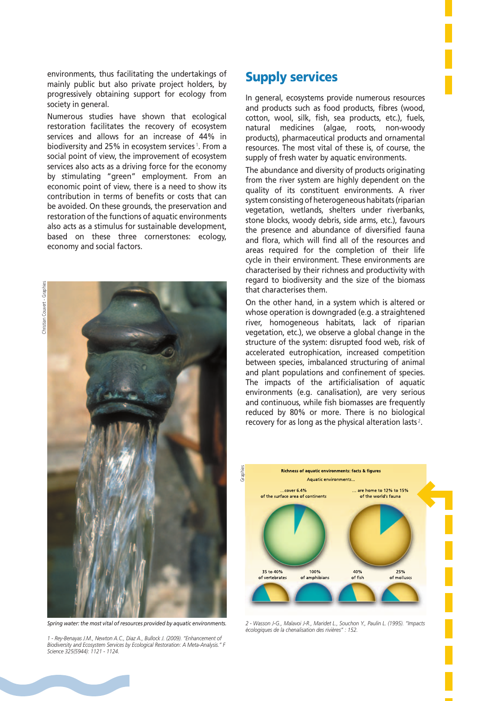environments, thus facilitating the undertakings of mainly public but also private project holders, by progressively obtaining support for ecology from society in general.

Numerous studies have shown that ecological restoration facilitates the recovery of ecosystem services and allows for an increase of 44% in biodiversity and 25% in ecosystem services<sup>1</sup>. From a social point of view, the improvement of ecosystem services also acts as a driving force for the economy by stimulating "green" employment. From an economic point of view, there is a need to show its contribution in terms of benefits or costs that can be avoided. On these grounds, the preservation and restoration of the functions of aquatic environments also acts as a stimulus for sustainable development, based on these three cornerstones: ecology, economy and social factors.



*Spring water: the most vital of resources provided by aquatic environments.*

*1 - Rey-Benayas J.M., Newton A.C., Diaz A., Bullock J. (2009). "Enhancement of Biodiversity and Ecosystem Services by Ecological Restoration: A Meta-Analysis." F Science 325(5944): 1121 - 1124.*

### **Supply services**

In general, ecosystems provide numerous resources and products such as food products, fibres (wood, cotton, wool, silk, fish, sea products, etc.), fuels, natural medicines (algae, roots, non-woody products), pharmaceutical products and ornamental resources. The most vital of these is, of course, the supply of fresh water by aquatic environments.

The abundance and diversity of products originating from the river system are highly dependent on the quality of its constituent environments. A river system consisting of heterogeneous habitats (riparian vegetation, wetlands, shelters under riverbanks, stone blocks, woody debris, side arms, etc.), favours the presence and abundance of diversified fauna and flora, which will find all of the resources and areas required for the completion of their life cycle in their environment. These environments are characterised by their richness and productivity with regard to biodiversity and the size of the biomass that characterises them.

On the other hand, in a system which is altered or whose operation is downgraded (e.g. a straightened river, homogeneous habitats, lack of riparian vegetation, etc.), we observe a global change in the structure of the system: disrupted food web, risk of accelerated eutrophication, increased competition between species, imbalanced structuring of animal and plant populations and confinement of species. The impacts of the artificialisation of aquatic environments (e.g. canalisation), are very serious and continuous, while fish biomasses are frequently reduced by 80% or more. There is no biological recovery for as long as the physical alteration lasts<sup>2</sup>.



*2 - Wasson J-G., Malavoi J-R., Maridet L., Souchon Y., Paulin L. (1995). "Impacts écologiques de la chenalisation des rivières" : 152.*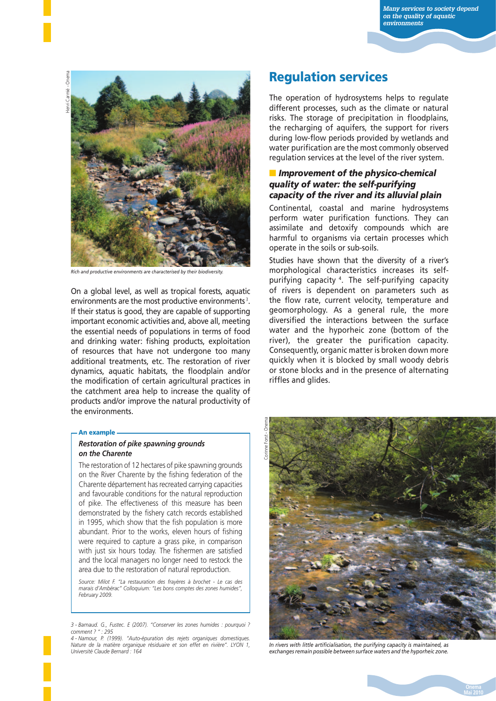Henri Carmié - Onema rmié - Onema



*Rich and productive environments are characterised by their biodiversity.*

On a global level, as well as tropical forests, aquatic environments are the most productive environments<sup>3</sup>. If their status is good, they are capable of supporting important economic activities and, above all, meeting the essential needs of populations in terms of food and drinking water: fishing products, exploitation of resources that have not undergone too many additional treatments, etc. The restoration of river dynamics, aquatic habitats, the floodplain and/or the modification of certain agricultural practices in the catchment area help to increase the quality of products and/or improve the natural productivity of the environments.

#### **An example**

#### *Restoration of pike spawning grounds on the Charente*

The restoration of 12 hectares of pike spawning grounds on the River Charente by the fishing federation of the Charente département has recreated carrying capacities and favourable conditions for the natural reproduction of pike. The effectiveness of this measure has been demonstrated by the fishery catch records established in 1995, which show that the fish population is more abundant. Prior to the works, eleven hours of fishing were required to capture a grass pike, in comparison with just six hours today. The fishermen are satisfied and the local managers no longer need to restock the area due to the restoration of natural reproduction.

*Source: Milot F. "La restauration des frayères à brochet - Le cas des marais d'Ambérac" Colloquium: "Les bons comptes des zones humides", February 2009.*

*3 - Barnaud. G., Fustec. E (2007). "Conserver les zones humides : pourquoi ? comment ? " : 295*

*4 - Namour, P. (1999). "Auto-épuration des rejets organiques domestiques. Nature de la matière organique résiduaire et son effet en rivière". LYON 1, Université Claude Bernard : 164*

## **Regulation services**

The operation of hydrosystems helps to regulate different processes, such as the climate or natural risks. The storage of precipitation in floodplains, the recharging of aquifers, the support for rivers during low-flow periods provided by wetlands and water purification are the most commonly observed regulation services at the level of the river system.

### ■ *Improvement of the physico-chemical quality of water: the self-purifying capacity of the river and its alluvial plain*

Continental, coastal and marine hydrosystems perform water purification functions. They can assimilate and detoxify compounds which are harmful to organisms via certain processes which operate in the soils or sub-soils.

Studies have shown that the diversity of a river's morphological characteristics increases its selfpurifying capacity 4. The self-purifying capacity of rivers is dependent on parameters such as the flow rate, current velocity, temperature and geomorphology. As a general rule, the more diversified the interactions between the surface water and the hyporheic zone (bottom of the river), the greater the purification capacity. Consequently, organic matter is broken down more quickly when it is blocked by small woody debris or stone blocks and in the presence of alternating riffles and glides.



In rivers with little artificialisation, the purifying capacity is maintained, as *exchanges remain possible between surface waters and the hyporheic zone.*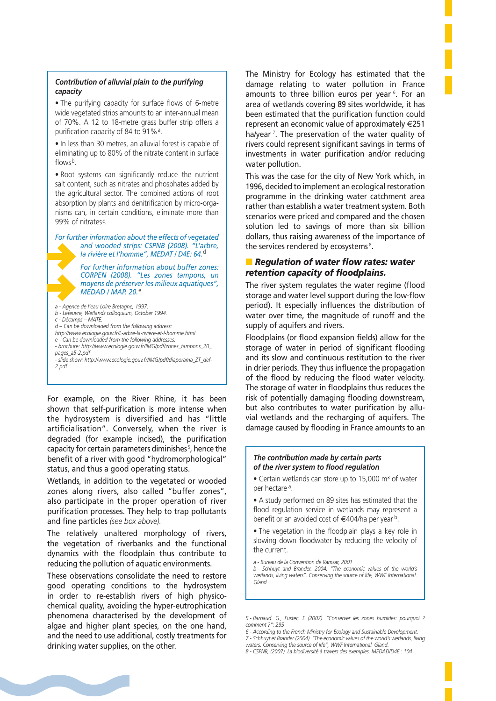#### *Contribution of alluvial plain to the purifying capacity*

• The purifying capacity for surface flows of 6-metre wide vegetated strips amounts to an inter-annual mean of 70%. A 12 to 18-metre grass buffer strip offers a purification capacity of 84 to 91%<sup>a</sup>.

• In less than 30 metres, an alluvial forest is capable of eliminating up to 80% of the nitrate content in surface flows<sup>b</sup>.

• Root systems can significantly reduce the nutrient salt content, such as nitrates and phosphates added by the agricultural sector. The combined actions of root absorption by plants and denitrification by micro-organisms can, in certain conditions, eliminate more than 99% of nitrates<sup>c</sup>.

*For further information about the effects of vegetated and wooded strips: CSPNB (2008). "L'arbre, la rivière et l'homme", MEDAT / D4E: 64.*<sup>d</sup>

> *For further information about buffer zones: CORPEN (2008). "Les zones tampons, un moyens de préserver les milieux aquatiques", MEDAD / MAP. 20.*<sup>e</sup>

*a - Agence de l'eau Loire Bretagne, 1997.*

- *b Lefeuvre, Wetlands colloquium, October 1994.*
- *c Décamps MATE.*
- *d Can be downloaded from the following address: http://www.ecologie.gouv.fr/L-arbre-la-riviere-et-l-homme.html*
- *e Can be downloaded from the following addresses:*
- *brochure: http://www.ecologie.gouv.fr/IMG/pdf/zones\_tampons\_20\_*
- *pages\_a5-2.pdf*
- *slide show: http://www.ecologie.gouv.fr/IMG/pdf/diaporama\_ZT\_def-2.pdf*

For example, on the River Rhine, it has been shown that self-purification is more intense when the hydrosystem is diversified and has "little artificialisation". Conversely, when the river is degraded (for example incised), the purification capacity for certain parameters diminishes<sup>5</sup>, hence the benefit of a river with good "hydromorphological" status, and thus a good operating status.

Wetlands, in addition to the vegetated or wooded zones along rivers, also called "buffer zones", also participate in the proper operation of river purification processes. They help to trap pollutants and fine particles (see box above).

The relatively unaltered morphology of rivers, the vegetation of riverbanks and the functional dynamics with the floodplain thus contribute to reducing the pollution of aquatic environments.

These observations consolidate the need to restore good operating conditions to the hydrosystem in order to re-establish rivers of high physicochemical quality, avoiding the hyper-eutrophication phenomena characterised by the development of algae and higher plant species, on the one hand, and the need to use additional, costly treatments for drinking water supplies, on the other.

The Ministry for Ecology has estimated that the damage relating to water pollution in France amounts to three billion euros per year <sup>6</sup>. For an area of wetlands covering 89 sites worldwide, it has been estimated that the purification function could represent an economic value of approximately €251 ha/year<sup>7</sup>. The preservation of the water quality of rivers could represent significant savings in terms of investments in water purification and/or reducing water pollution.

This was the case for the city of New York which, in 1996, decided to implement an ecological restoration programme in the drinking water catchment area rather than establish a water treatment system. Both scenarios were priced and compared and the chosen solution led to savings of more than six billion dollars, thus raising awareness of the importance of the services rendered by ecosystems<sup>8</sup>.

### ■ *Regulation of water flow rates: water retention capacity of floodplains.*

The river system regulates the water regime (flood storage and water level support during the low-flow period). It especially influences the distribution of water over time, the magnitude of runoff and the supply of aquifers and rivers.

Floodplains (or flood expansion fields) allow for the storage of water in period of significant flooding and its slow and continuous restitution to the river in drier periods. They thus influence the propagation of the flood by reducing the flood water velocity. The storage of water in floodplains thus reduces the risk of potentially damaging flooding downstream, but also contributes to water purification by alluvial wetlands and the recharging of aquifers. The damage caused by flooding in France amounts to an

#### *The contribution made by certain parts of the river system to fl ood regulation*

• Certain wetlands can store up to 15,000 m<sup>3</sup> of water per hectare <sup>a</sup>.

• A study performed on 89 sites has estimated that the flood regulation service in wetlands may represent a benefit or an avoided cost of  $\in$ 404/ha per year b.

• The vegetation in the floodplain plays a key role in slowing down floodwater by reducing the velocity of the current.

*a - Bureau de la Convention de Ramsar, 2001*

*b - Schhuyt and Brander. 2004. "The economic values of the world's wetlands, living waters". Conserving the source of life, WWF International. Gland*

*5 - Barnaud. G., Fustec. E (2007). "Conserver les zones humides: pourquoi ? comment ?": 295*

*waters. Conserving the source of life", WWF International. Gland.*

*<sup>6 -</sup> According to the French Ministry for Ecology and Sustainable Development.*

*<sup>7 -</sup> Schhuyt et Brander (2004). "The economic values of the world's wetlands, living* 

*<sup>8 -</sup> CSPNB, (2007). La biodiversité à travers des exemples. MEDAD/D4E : 104*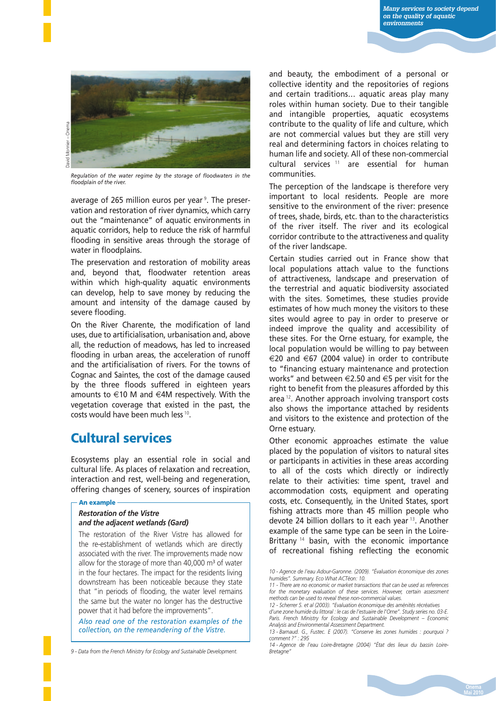

Regulation of the water regime by the storage of floodwaters in the *fl oodplain of the river.*

average of 265 million euros per year <sup>9</sup>. The preservation and restoration of river dynamics, which carry out the "maintenance" of aquatic environments in aquatic corridors, help to reduce the risk of harmful flooding in sensitive areas through the storage of water in floodplains.

The preservation and restoration of mobility areas and, beyond that, floodwater retention areas within which high-quality aquatic environments can develop, help to save money by reducing the amount and intensity of the damage caused by severe flooding.

On the River Charente, the modification of land uses, due to artificialisation, urbanisation and, above all, the reduction of meadows, has led to increased flooding in urban areas, the acceleration of runoff and the artificialisation of rivers. For the towns of Cognac and Saintes, the cost of the damage caused by the three floods suffered in eighteen years amounts to  $\in$ 10 M and  $\in$ 4M respectively. With the vegetation coverage that existed in the past, the costs would have been much less <sup>10</sup>.

# **Cultural services**

Ecosystems play an essential role in social and cultural life. As places of relaxation and recreation, interaction and rest, well-being and regeneration, offering changes of scenery, sources of inspiration

#### **An example**

#### *Restoration of the Vistre and the adjacent wetlands (Gard)*

The restoration of the River Vistre has allowed for the re-establishment of wetlands which are directly associated with the river. The improvements made now allow for the storage of more than  $40.000$  m<sup>3</sup> of water in the four hectares. The impact for the residents living downstream has been noticeable because they state that "in periods of flooding, the water level remains the same but the water no longer has the destructive power that it had before the improvements".

*Also read one of the restoration examples of the collection, on the remeandering of the Vistre.*

*9 - Data from the French Ministry for Ecology and Sustainable Development.*

and beauty, the embodiment of a personal or collective identity and the repositories of regions and certain traditions… aquatic areas play many roles within human society. Due to their tangible and intangible properties, aquatic ecosystems contribute to the quality of life and culture, which are not commercial values but they are still very real and determining factors in choices relating to human life and society. All of these non-commercial cultural services  $11$  are essential for human communities.

The perception of the landscape is therefore very important to local residents. People are more sensitive to the environment of the river: presence of trees, shade, birds, etc. than to the characteristics of the river itself. The river and its ecological corridor contribute to the attractiveness and quality of the river landscape.

Certain studies carried out in France show that local populations attach value to the functions of attractiveness, landscape and preservation of the terrestrial and aquatic biodiversity associated with the sites. Sometimes, these studies provide estimates of how much money the visitors to these sites would agree to pay in order to preserve or indeed improve the quality and accessibility of these sites. For the Orne estuary, for example, the local population would be willing to pay between €20 and €67 (2004 value) in order to contribute to "financing estuary maintenance and protection works" and between €2.50 and €5 per visit for the right to benefit from the pleasures afforded by this area<sup>12</sup>. Another approach involving transport costs also shows the importance attached by residents and visitors to the existence and protection of the Orne estuary.

Other economic approaches estimate the value placed by the population of visitors to natural sites or participants in activities in these areas according to all of the costs which directly or indirectly relate to their activities: time spent, travel and accommodation costs, equipment and operating costs, etc. Consequently, in the United States, sport fishing attracts more than 45 million people who devote 24 billion dollars to it each year <sup>13</sup>. Another example of the same type can be seen in the Loire-Brittany<sup>14</sup> basin, with the economic importance of recreational fishing reflecting the economic

*<sup>10 -</sup> Agence de l'eau Adour-Garonne. (2009). "Évaluation économique des zones humides". Summary. Eco What ACTéon: 10.*

*<sup>11 -</sup> There are no economic or market transactions that can be used as references*  for the monetary evaluation of these services. However, certain assessment *methods can be used to reveal these non-commercial values.*

*<sup>12 -</sup> Scherrer S. et al (2003). "Evaluation économique des aménités récréatives* 

*d'une zone humide du littoral : le cas de l'estuaire de l'Orne". Study series no. 03-E.*  Paris. French Ministry for Ecology and Sustainable Development - Economic *Analysis and Environmental Assessment Department.*

*<sup>13 -</sup> Barnaud. G., Fustec. E (2007). "Conserve les zones humides : pourquoi ? comment ?" : 295*

*<sup>14 -</sup> Agence de l'eau Loire-Bretagne (2004) "État des lieux du bassin Loire-Bretagne"*